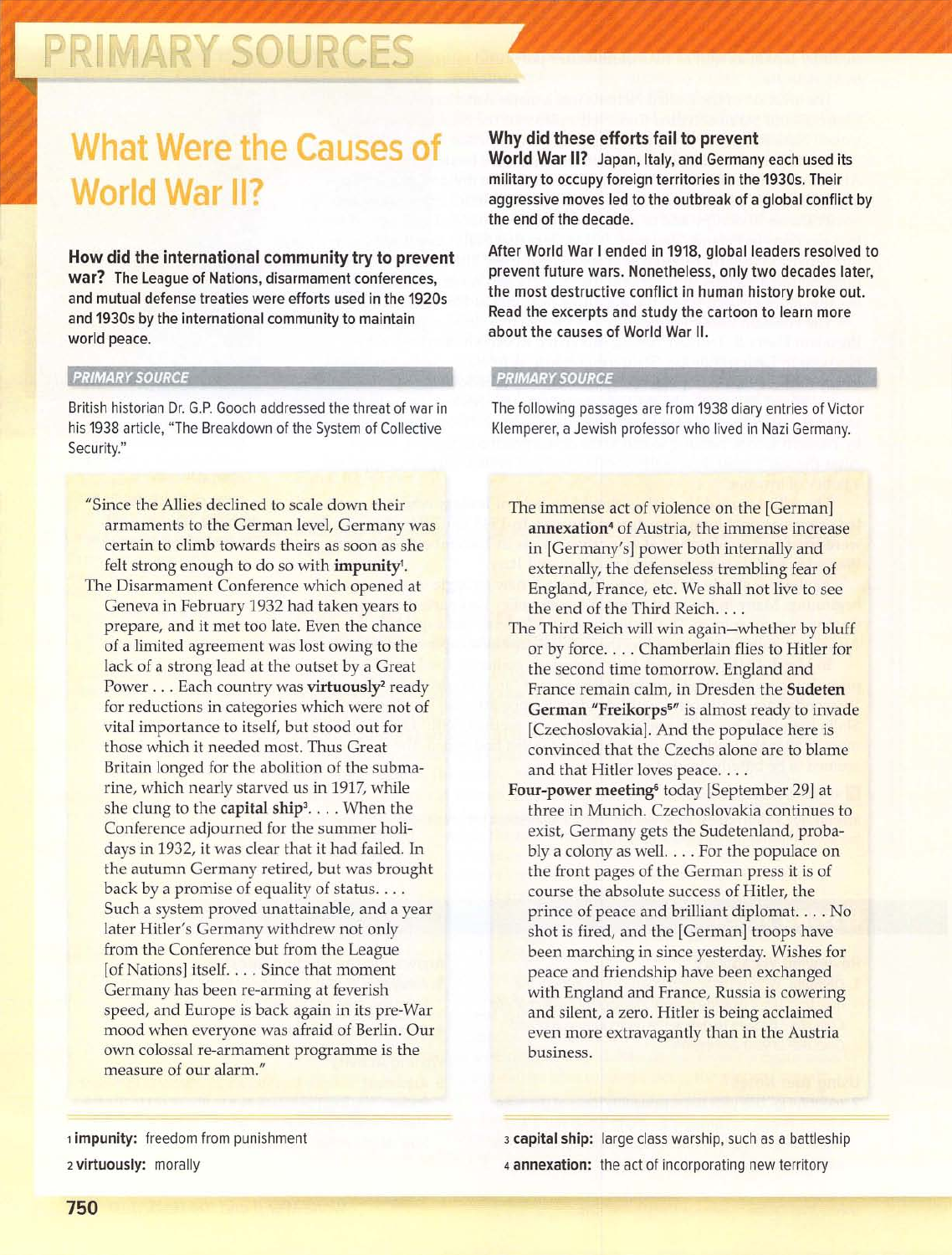# **PRIMARY SOURCES**

## **What Were the Causes of World War II?**

How did the international community try to prevent war? The League of Nations, disarmament conferences, and mutual defense treaties were efforts used in the 1920s and 1930s by the international community to maintain world peace.

#### *PRIMARY SOURCE*

British historian Dr. G.P. Gooch addressed the threat of war in his 1938 article, "The Breakdown of the System of Collective Security."

- "Since the Allies declined to scale down their armaments to the German level, Germany was certain to climb towards theirs as soon as she felt strong enough to do so with *impunity<sup>1</sup>*.
- The Disarmament Conference which opened at Geneva in February 1932 had taken years to prepare, and it met too late. Even the chance of a limited agreement was lost owing to the lack of a strong lead at the outset by a Great Power . . . Each country was virtuously<sup>2</sup> ready for reductions in categories which were not of vital importance to itself, but stood out for those which it needed most. Thus Great Britain longed for the abolition of the submarine, which nearly starved us in 1917, while she clung to the capital ship<sup>3</sup>.  $\ldots$  When the Conference adjourned for the summer holidays in 1932, it was clear that it had failed. In the autumn Germany retired, but was brought back by a promise of equality of status... Such a system proved unattainable, and a year later Hitler's Germany withdrew not only from the Conference but from the League [of Nations] itself. . . . Since that moment Germany has been re-arming at feverish speed, and Europe is back again in its pre-War mood when everyone was afraid of Berlin. Our own colossal re-armament programme is the measure of our alarm."

## Why did these efforts fail to prevent

World War II? Japan, Italy, and Germany each used its military to occupy foreign territories in the 1930s. Their aggressive moves led to the outbreak of a global conflict by the end of the decade.

After World War I ended in 1918, global leaders resolved to prevent future wars. Nonetheless, only two decades later, the most destructive conflict in human history broke out. Read the excerpts and study the cartoon to learn more about the causes of World War II.

#### *PRIMARY SOURCE*

The following passages are from 1938 diary entries of Victor Klemperer, a Jewish professor who lived in Nazi Germany.

- The immense act of violence on the [German] annexation<sup>4</sup> of Austria, the immense increase in [Germany's] power both internally and externally, the defenseless trembling fear of England, France, etc. We shall not live to see the end of the Third Reich....
- The Third Reich will win again-whether by bluff or by force .... Chamberlain flies to Hitler for the second time tomorrow. England and France remain calm, in Dresden the Sudeten German "Freikorps<sup>5"</sup> is almost ready to invade [Czechoslovakia]. And the populace here is convinced that the Czechs alone are to blame and that Hitler loves peace....
- Four-power meeting<sup>6</sup> today [September 29] at three in Munich. Czechoslovakia continues to exist, Germany gets the Sudetenland, probably a colony as well. . . . For the populace on the front pages of the German press it is of course the absolute success of Hitler, the prince of peace and brilliant diplomat... No shot is fired, and the [German] troops have been marching in since yesterday. Wishes for peace and friendship have been exchanged with England and France, Russia is cowering and silent, a zero. Hitler is being acclaimed even more extravagantly than in the Austria business.

1 **impunity:** freedom from punishment 2 virtuously: morally

3 capital ship: large class warship, such as a battleship 4 **annexation:** the act of incorporating new territory